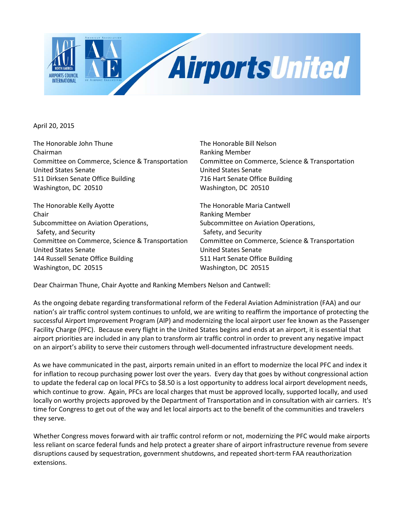

April 20, 2015

The Honorable John Thune The Honorable Bill Nelson Chairman **Ranking Member** Ranking Member Committee on Commerce, Science & Transportation Committee on Commerce, Science & Transportation United States Senate United States Senate 511 Dirksen Senate Office Building 716 Hart Senate Office Building Washington, DC 20510 Washington, DC 20510

The Honorable Kelly Ayotte The Honorable Maria Cantwell Chair **Chair Chair Chair Chair Chair Chair Chair Chair Chair Chair Chair Chair Chair Chair Chair Chair Chair Chair Chair Chair Chair Chair Chair Chair Chair Chair Chair** Subcommittee on Aviation Operations, Subcommittee on Aviation Operations, Safety, and Security Safety, and Security Committee on Commerce, Science & Transportation Committee on Commerce, Science & Transportation United States Senate United States Senate 144 Russell Senate Office Building 511 Hart Senate Office Building Washington, DC 20515 Washington, DC 20515

Dear Chairman Thune, Chair Ayotte and Ranking Members Nelson and Cantwell:

As the ongoing debate regarding transformational reform of the Federal Aviation Administration (FAA) and our nation's air traffic control system continues to unfold, we are writing to reaffirm the importance of protecting the successful Airport Improvement Program (AIP) and modernizing the local airport user fee known as the Passenger Facility Charge (PFC). Because every flight in the United States begins and ends at an airport, it is essential that airport priorities are included in any plan to transform air traffic control in order to prevent any negative impact on an airport's ability to serve their customers through well-documented infrastructure development needs.

As we have communicated in the past, airports remain united in an effort to modernize the local PFC and index it for inflation to recoup purchasing power lost over the years. Every day that goes by without congressional action to update the federal cap on local PFCs to \$8.50 is a lost opportunity to address local airport development needs, which continue to grow. Again, PFCs are local charges that must be approved locally, supported locally, and used locally on worthy projects approved by the Department of Transportation and in consultation with air carriers. It's time for Congress to get out of the way and let local airports act to the benefit of the communities and travelers they serve.

Whether Congress moves forward with air traffic control reform or not, modernizing the PFC would make airports less reliant on scarce federal funds and help protect a greater share of airport infrastructure revenue from severe disruptions caused by sequestration, government shutdowns, and repeated short-term FAA reauthorization extensions.